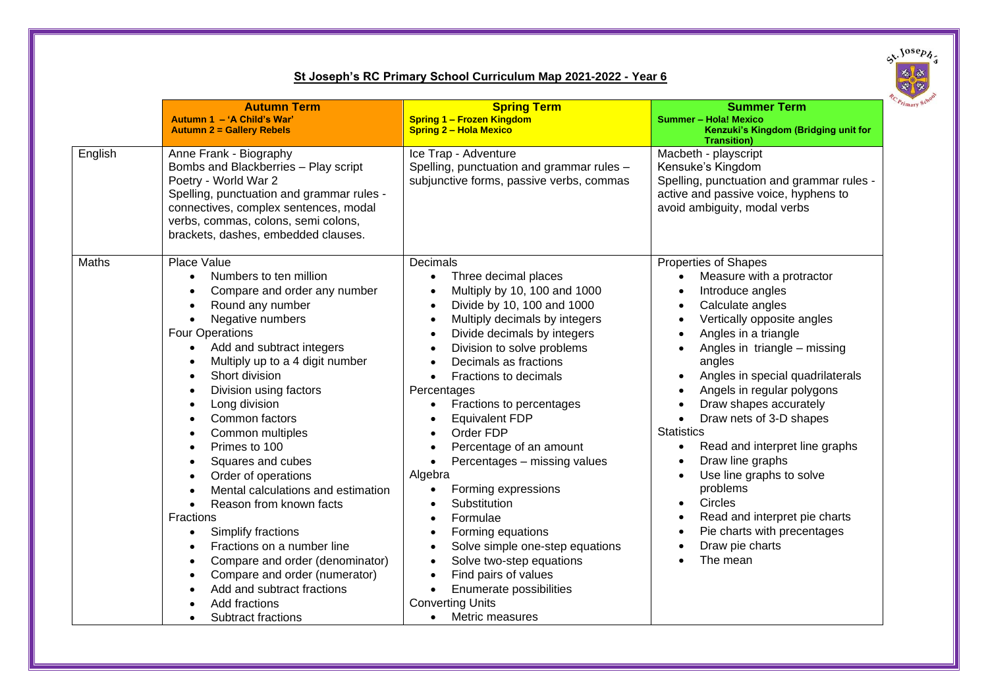

## **St Joseph's RC Primary School Curriculum Map 2021-2022 - Year 6**

|         | <b>Autumn Term</b><br>Autumn 1 - 'A Child's War'<br><b>Autumn 2 = Gallery Rebels</b>                                                                                                                                                                                                                                                                                                                                                                                                                                                                                                                                                                                                                                                                                                                                                                                                                                                              | <b>Spring Term</b><br><b>Spring 1 - Frozen Kingdom</b><br><b>Spring 2 - Hola Mexico</b>                                                                                                                                                                                                                                                                                                                                                                                                                                                                                                                                                                                                                                                  | <b>Summer Term</b><br><b>Summer - Hola! Mexico</b><br>Kenzuki's Kingdom (Bridging unit for<br><b>Transition)</b>                                                                                                                                                                                                                                                                                                                                                                                                                                                                                                                                                                                                                                                           |
|---------|---------------------------------------------------------------------------------------------------------------------------------------------------------------------------------------------------------------------------------------------------------------------------------------------------------------------------------------------------------------------------------------------------------------------------------------------------------------------------------------------------------------------------------------------------------------------------------------------------------------------------------------------------------------------------------------------------------------------------------------------------------------------------------------------------------------------------------------------------------------------------------------------------------------------------------------------------|------------------------------------------------------------------------------------------------------------------------------------------------------------------------------------------------------------------------------------------------------------------------------------------------------------------------------------------------------------------------------------------------------------------------------------------------------------------------------------------------------------------------------------------------------------------------------------------------------------------------------------------------------------------------------------------------------------------------------------------|----------------------------------------------------------------------------------------------------------------------------------------------------------------------------------------------------------------------------------------------------------------------------------------------------------------------------------------------------------------------------------------------------------------------------------------------------------------------------------------------------------------------------------------------------------------------------------------------------------------------------------------------------------------------------------------------------------------------------------------------------------------------------|
| English | Anne Frank - Biography<br>Bombs and Blackberries - Play script<br>Poetry - World War 2<br>Spelling, punctuation and grammar rules -<br>connectives, complex sentences, modal<br>verbs, commas, colons, semi colons,<br>brackets, dashes, embedded clauses.                                                                                                                                                                                                                                                                                                                                                                                                                                                                                                                                                                                                                                                                                        | Ice Trap - Adventure<br>Spelling, punctuation and grammar rules -<br>subjunctive forms, passive verbs, commas                                                                                                                                                                                                                                                                                                                                                                                                                                                                                                                                                                                                                            | Macbeth - playscript<br>Kensuke's Kingdom<br>Spelling, punctuation and grammar rules -<br>active and passive voice, hyphens to<br>avoid ambiguity, modal verbs                                                                                                                                                                                                                                                                                                                                                                                                                                                                                                                                                                                                             |
| Maths   | <b>Place Value</b><br>Numbers to ten million<br>$\bullet$<br>Compare and order any number<br>$\bullet$<br>Round any number<br>$\bullet$<br>Negative numbers<br>$\bullet$<br><b>Four Operations</b><br>Add and subtract integers<br>$\bullet$<br>Multiply up to a 4 digit number<br>$\bullet$<br>Short division<br>$\bullet$<br>Division using factors<br>$\bullet$<br>Long division<br>$\bullet$<br>Common factors<br>$\bullet$<br>Common multiples<br>$\bullet$<br>Primes to 100<br>$\bullet$<br>Squares and cubes<br>$\bullet$<br>Order of operations<br>$\bullet$<br>Mental calculations and estimation<br>$\bullet$<br>Reason from known facts<br>$\bullet$<br><b>Fractions</b><br>Simplify fractions<br>$\bullet$<br>Fractions on a number line<br>$\bullet$<br>Compare and order (denominator)<br>$\bullet$<br>Compare and order (numerator)<br>$\bullet$<br>Add and subtract fractions<br>Add fractions<br>Subtract fractions<br>$\bullet$ | Decimals<br>Three decimal places<br>$\bullet$<br>Multiply by 10, 100 and 1000<br>Divide by 10, 100 and 1000<br>Multiply decimals by integers<br>Divide decimals by integers<br>Division to solve problems<br>Decimals as fractions<br>Fractions to decimals<br>$\bullet$<br>Percentages<br>Fractions to percentages<br>$\bullet$<br><b>Equivalent FDP</b><br>Order FDP<br>Percentage of an amount<br>Percentages - missing values<br>$\bullet$<br>Algebra<br>Forming expressions<br>$\bullet$<br>Substitution<br>Formulae<br>Forming equations<br>Solve simple one-step equations<br>Solve two-step equations<br>Find pairs of values<br>$\bullet$<br>Enumerate possibilities<br><b>Converting Units</b><br>Metric measures<br>$\bullet$ | Properties of Shapes<br>Measure with a protractor<br>$\bullet$<br>Introduce angles<br>$\bullet$<br>Calculate angles<br>$\bullet$<br>Vertically opposite angles<br>$\bullet$<br>Angles in a triangle<br>$\bullet$<br>Angles in triangle - missing<br>$\bullet$<br>angles<br>Angles in special quadrilaterals<br>$\bullet$<br>Angels in regular polygons<br>$\bullet$<br>Draw shapes accurately<br>$\bullet$<br>Draw nets of 3-D shapes<br>$\bullet$<br><b>Statistics</b><br>Read and interpret line graphs<br>$\bullet$<br>Draw line graphs<br>$\bullet$<br>Use line graphs to solve<br>$\bullet$<br>problems<br>Circles<br>$\bullet$<br>Read and interpret pie charts<br>$\bullet$<br>Pie charts with precentages<br>$\bullet$<br>Draw pie charts<br>$\bullet$<br>The mean |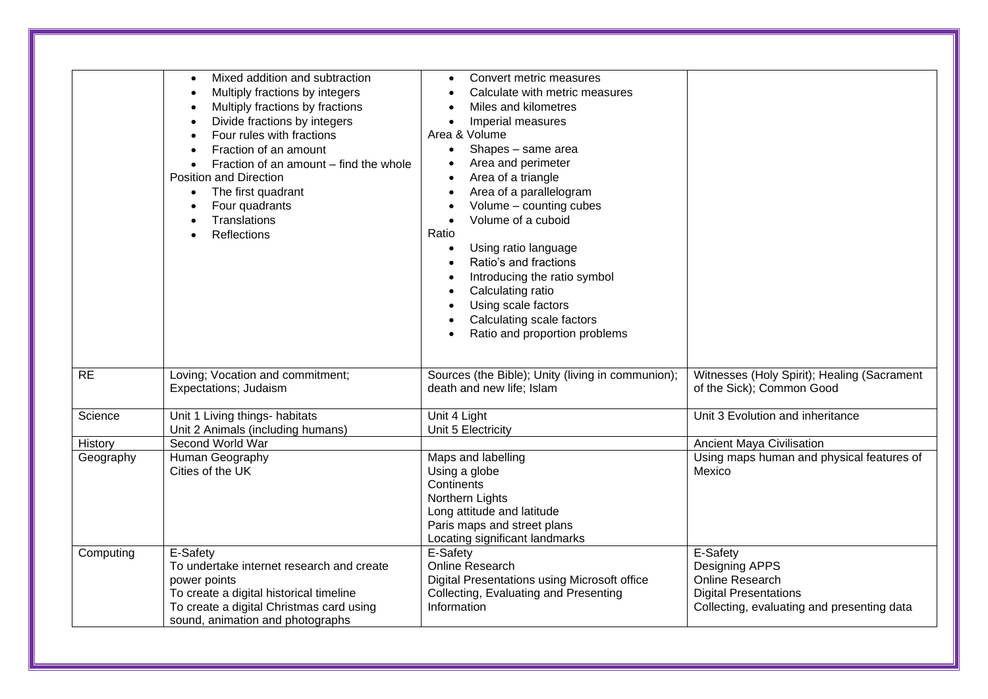|           | Mixed addition and subtraction<br>$\bullet$<br>Multiply fractions by integers<br>$\bullet$<br>Multiply fractions by fractions<br>$\bullet$<br>Divide fractions by integers<br>$\bullet$<br>Four rules with fractions<br>$\bullet$<br>Fraction of an amount<br>$\bullet$<br>Fraction of an amount - find the whole<br>$\bullet$<br><b>Position and Direction</b><br>The first quadrant<br>$\bullet$<br>Four quadrants<br>$\bullet$<br>Translations<br>$\bullet$<br><b>Reflections</b><br>$\bullet$ | Convert metric measures<br>Calculate with metric measures<br>Miles and kilometres<br>Imperial measures<br>$\bullet$<br>Area & Volume<br>Shapes - same area<br>$\bullet$<br>Area and perimeter<br>Area of a triangle<br>Area of a parallelogram<br>Volume - counting cubes<br>Volume of a cuboid<br>$\bullet$<br>Ratio<br>Using ratio language<br>Ratio's and fractions<br>Introducing the ratio symbol<br>Calculating ratio<br>Using scale factors<br>Calculating scale factors<br>Ratio and proportion problems |                                                                                                                                    |
|-----------|---------------------------------------------------------------------------------------------------------------------------------------------------------------------------------------------------------------------------------------------------------------------------------------------------------------------------------------------------------------------------------------------------------------------------------------------------------------------------------------------------|------------------------------------------------------------------------------------------------------------------------------------------------------------------------------------------------------------------------------------------------------------------------------------------------------------------------------------------------------------------------------------------------------------------------------------------------------------------------------------------------------------------|------------------------------------------------------------------------------------------------------------------------------------|
| <b>RE</b> | Loving; Vocation and commitment;<br>Expectations; Judaism                                                                                                                                                                                                                                                                                                                                                                                                                                         | Sources (the Bible); Unity (living in communion);<br>death and new life; Islam                                                                                                                                                                                                                                                                                                                                                                                                                                   | Witnesses (Holy Spirit); Healing (Sacrament<br>of the Sick); Common Good                                                           |
| Science   | Unit 1 Living things- habitats<br>Unit 2 Animals (including humans)                                                                                                                                                                                                                                                                                                                                                                                                                               | Unit 4 Light<br>Unit 5 Electricity                                                                                                                                                                                                                                                                                                                                                                                                                                                                               | Unit 3 Evolution and inheritance                                                                                                   |
| History   | Second World War                                                                                                                                                                                                                                                                                                                                                                                                                                                                                  |                                                                                                                                                                                                                                                                                                                                                                                                                                                                                                                  | <b>Ancient Maya Civilisation</b>                                                                                                   |
| Geography | Human Geography<br>Cities of the UK                                                                                                                                                                                                                                                                                                                                                                                                                                                               | Maps and labelling<br>Using a globe<br>Continents<br>Northern Lights<br>Long attitude and latitude<br>Paris maps and street plans<br>Locating significant landmarks                                                                                                                                                                                                                                                                                                                                              | Using maps human and physical features of<br>Mexico                                                                                |
| Computing | E-Safety<br>To undertake internet research and create<br>power points<br>To create a digital historical timeline<br>To create a digital Christmas card using<br>sound, animation and photographs                                                                                                                                                                                                                                                                                                  | E-Safety<br>Online Research<br>Digital Presentations using Microsoft office<br>Collecting, Evaluating and Presenting<br>Information                                                                                                                                                                                                                                                                                                                                                                              | E-Safety<br>Designing APPS<br><b>Online Research</b><br><b>Digital Presentations</b><br>Collecting, evaluating and presenting data |